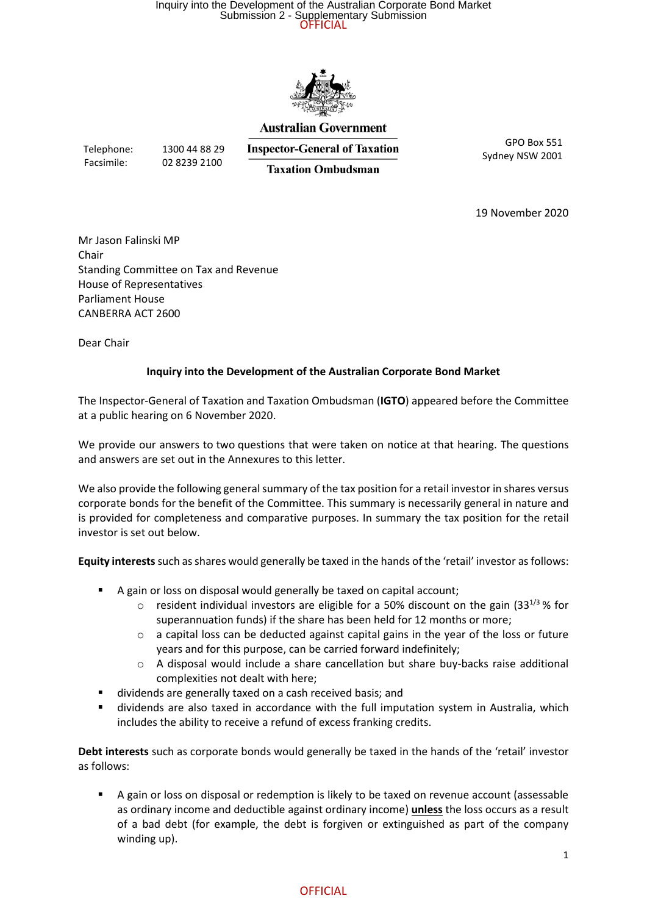### Submission 2 - Supplementary Submission<br>OFFICIAL Inquiry into the Development of the Australian Corporate Bond Market



#### **Australian Government**

Telephone: 1300 44 88 29

Facsimile: 02 8239 2100

**Inspector-General of Taxation Taxation Ombudsman** 

GPO Box 551 Sydney NSW 2001

19 November 2020

Mr Jason Falinski MP Chair Standing Committee on Tax and Revenue House of Representatives Parliament House CANBERRA ACT 2600

Dear Chair

#### **Inquiry into the Development of the Australian Corporate Bond Market**

The Inspector-General of Taxation and Taxation Ombudsman (**IGTO**) appeared before the Committee at a public hearing on 6 November 2020.

We provide our answers to two questions that were taken on notice at that hearing. The questions and answers are set out in the Annexures to this letter.

We also provide the following general summary of the tax position for a retail investor in shares versus corporate bonds for the benefit of the Committee. This summary is necessarily general in nature and is provided for completeness and comparative purposes. In summary the tax position for the retail investor is set out below.

**Equity interests**such as shares would generally be taxed in the hands of the 'retail' investor as follows:

- A gain or loss on disposal would generally be taxed on capital account;
	- $\circ$  resident individual investors are eligible for a 50% discount on the gain (33<sup>1/3</sup> % for superannuation funds) if the share has been held for 12 months or more;
	- o a capital loss can be deducted against capital gains in the year of the loss or future years and for this purpose, can be carried forward indefinitely;
	- $\circ$  A disposal would include a share cancellation but share buy-backs raise additional complexities not dealt with here;
- dividends are generally taxed on a cash received basis; and
- dividends are also taxed in accordance with the full imputation system in Australia, which includes the ability to receive a refund of excess franking credits.

**Debt interests** such as corporate bonds would generally be taxed in the hands of the 'retail' investor as follows:

■ A gain or loss on disposal or redemption is likely to be taxed on revenue account (assessable as ordinary income and deductible against ordinary income) **unless** the loss occurs as a result of a bad debt (for example, the debt is forgiven or extinguished as part of the company winding up).

#### **OFFICIAL**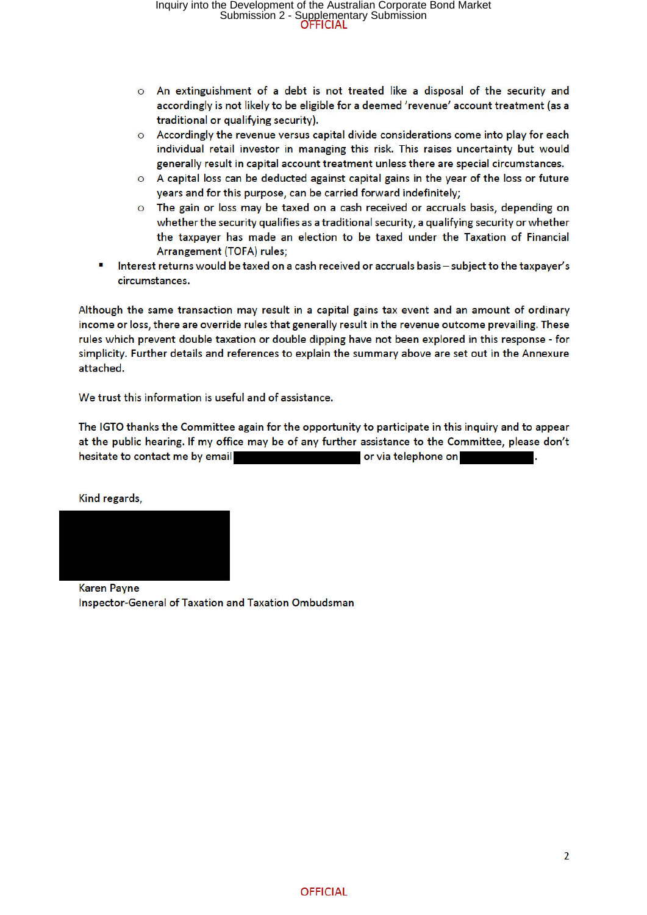- o An extinguishment of a debt is not treated like a disposal of the security and accordingly is not likely to be eligible for a deemed 'revenue' account treatment (as a traditional or qualifying security).
- Accordingly the revenue versus capital divide considerations come into play for each  $\circ$ individual retail investor in managing this risk. This raises uncertainty but would generally result in capital account treatment unless there are special circumstances.
- O A capital loss can be deducted against capital gains in the year of the loss or future years and for this purpose, can be carried forward indefinitely;
- $\Omega$ The gain or loss may be taxed on a cash received or accruals basis, depending on whether the security qualifies as a traditional security, a qualifying security or whether the taxpayer has made an election to be taxed under the Taxation of Financial Arrangement (TOFA) rules;
- Interest returns would be taxed on a cash received or accruals basis subject to the taxpayer's circumstances.

Although the same transaction may result in a capital gains tax event and an amount of ordinary income or loss, there are override rules that generally result in the revenue outcome prevailing. These rules which prevent double taxation or double dipping have not been explored in this response - for simplicity. Further details and references to explain the summary above are set out in the Annexure attached.

We trust this information is useful and of assistance.

The IGTO thanks the Committee again for the opportunity to participate in this inquiry and to appear at the public hearing. If my office may be of any further assistance to the Committee, please don't hesitate to contact me by email or via telephone on

Kind regards.



**Karen Payne** Inspector-General of Taxation and Taxation Ombudsman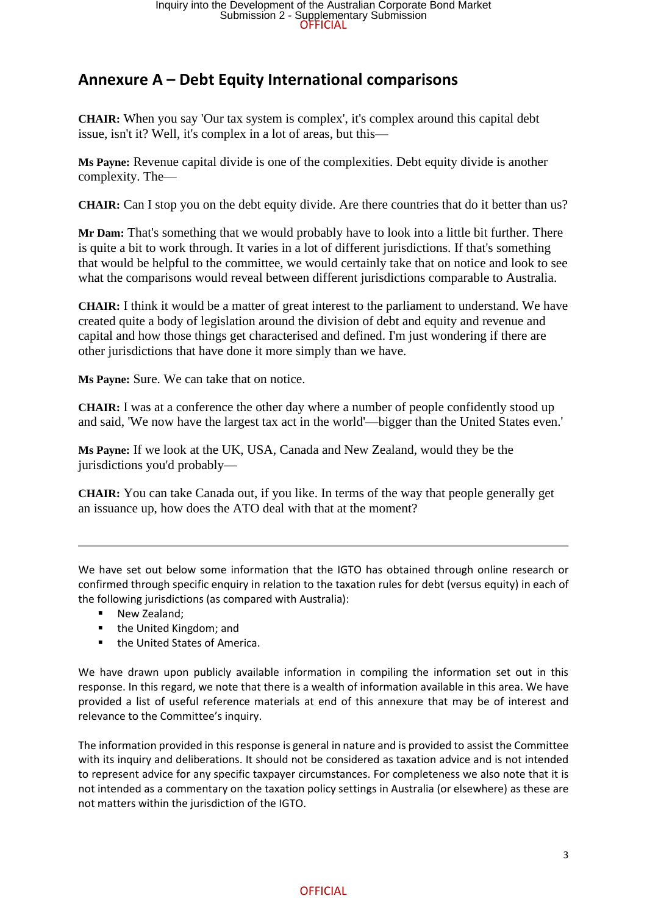# **Annexure A – Debt Equity International comparisons**

**CHAIR:** When you say 'Our tax system is complex', it's complex around this capital debt issue, isn't it? Well, it's complex in a lot of areas, but this—

**Ms Payne:** Revenue capital divide is one of the complexities. Debt equity divide is another complexity. The—

**CHAIR:** Can I stop you on the debt equity divide. Are there countries that do it better than us?

**Mr Dam:** That's something that we would probably have to look into a little bit further. There is quite a bit to work through. It varies in a lot of different jurisdictions. If that's something that would be helpful to the committee, we would certainly take that on notice and look to see what the comparisons would reveal between different jurisdictions comparable to Australia.

**CHAIR:** I think it would be a matter of great interest to the parliament to understand. We have created quite a body of legislation around the division of debt and equity and revenue and capital and how those things get characterised and defined. I'm just wondering if there are other jurisdictions that have done it more simply than we have.

**Ms Payne:** Sure. We can take that on notice.

**CHAIR:** I was at a conference the other day where a number of people confidently stood up and said, 'We now have the largest tax act in the world'—bigger than the United States even.'

**Ms Payne:** If we look at the UK, USA, Canada and New Zealand, would they be the jurisdictions you'd probably—

**CHAIR:** You can take Canada out, if you like. In terms of the way that people generally get an issuance up, how does the ATO deal with that at the moment?

We have set out below some information that the IGTO has obtained through online research or confirmed through specific enquiry in relation to the taxation rules for debt (versus equity) in each of the following jurisdictions (as compared with Australia):

- New Zealand:
- the United Kingdom: and
- the United States of America.

We have drawn upon publicly available information in compiling the information set out in this response. In this regard, we note that there is a wealth of information available in this area. We have provided a list of useful reference materials at end of this annexure that may be of interest and relevance to the Committee's inquiry.

The information provided in this response is general in nature and is provided to assist the Committee with its inquiry and deliberations. It should not be considered as taxation advice and is not intended to represent advice for any specific taxpayer circumstances. For completeness we also note that it is not intended as a commentary on the taxation policy settings in Australia (or elsewhere) as these are not matters within the jurisdiction of the IGTO.

#### **OFFICIAL**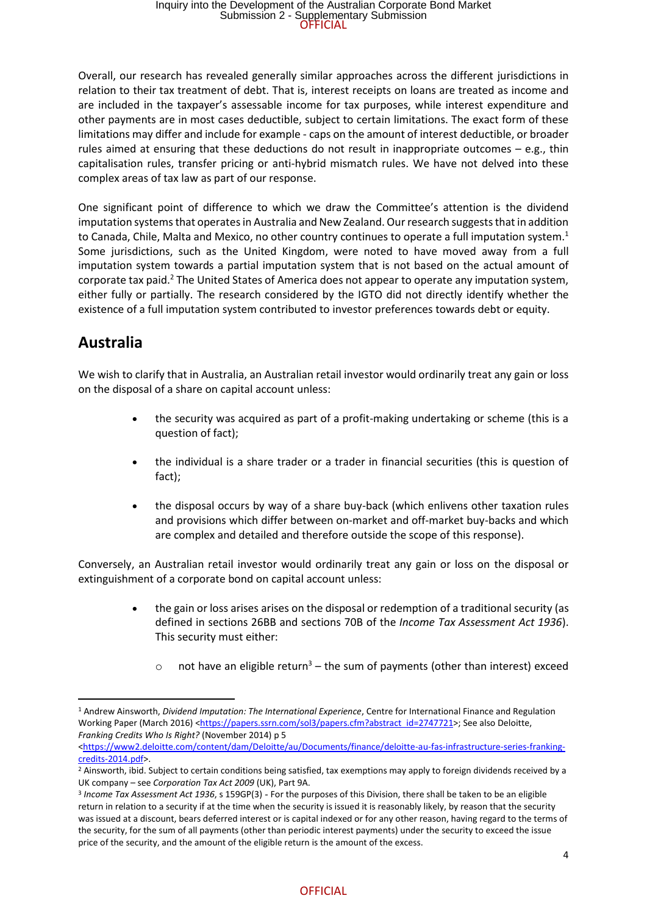Overall, our research has revealed generally similar approaches across the different jurisdictions in relation to their tax treatment of debt. That is, interest receipts on loans are treated as income and are included in the taxpayer's assessable income for tax purposes, while interest expenditure and other payments are in most cases deductible, subject to certain limitations. The exact form of these limitations may differ and include for example - caps on the amount of interest deductible, or broader rules aimed at ensuring that these deductions do not result in inappropriate outcomes – e.g., thin capitalisation rules, transfer pricing or anti-hybrid mismatch rules. We have not delved into these complex areas of tax law as part of our response.

One significant point of difference to which we draw the Committee's attention is the dividend imputation systems that operates in Australia and New Zealand. Our research suggests that in addition to Canada, Chile, Malta and Mexico, no other country continues to operate a full imputation system.<sup>1</sup> Some jurisdictions, such as the United Kingdom, were noted to have moved away from a full imputation system towards a partial imputation system that is not based on the actual amount of corporate tax paid.<sup>2</sup> The United States of America does not appear to operate any imputation system, either fully or partially. The research considered by the IGTO did not directly identify whether the existence of a full imputation system contributed to investor preferences towards debt or equity.

# **Australia**

We wish to clarify that in Australia, an Australian retail investor would ordinarily treat any gain or loss on the disposal of a share on capital account unless:

- the security was acquired as part of a profit-making undertaking or scheme (this is a question of fact);
- the individual is a share trader or a trader in financial securities (this is question of fact);
- the disposal occurs by way of a share buy-back (which enlivens other taxation rules and provisions which differ between on-market and off-market buy-backs and which are complex and detailed and therefore outside the scope of this response).

Conversely, an Australian retail investor would ordinarily treat any gain or loss on the disposal or extinguishment of a corporate bond on capital account unless:

- the gain or loss arises arises on the disposal or redemption of a traditional security (as defined in sections 26BB and sections 70B of the *Income Tax Assessment Act 1936*). This security must either:
	- o not have an eligible return<sup>3</sup> the sum of payments (other than interest) exceed

<sup>1</sup> Andrew Ainsworth, *Dividend Imputation: The International Experience*, Centre for International Finance and Regulation Working Paper (March 2016) <https://papers.ssrn.com/sol3/papers.cfm?abstract\_id=2747721>; See also Deloitte, *Franking Credits Who Is Right?* (November 2014) p 5

<sup>&</sup>lt;https://www2.deloitte.com/content/dam/Deloitte/au/Documents/finance/deloitte-au-fas-infrastructure-series-frankingcredits-2014.pdf>.

<sup>&</sup>lt;sup>2</sup> Ainsworth, ibid. Subject to certain conditions being satisfied, tax exemptions may apply to foreign dividends received by a UK company – see *Corporation Tax Act 2009* (UK), Part 9A.

<sup>3</sup> *Income Tax Assessment Act 1936*, s 159GP(3) - For the purposes of this Division, there shall be taken to be an eligible return in relation to a security if at the time when the security is issued it is reasonably likely, by reason that the security was issued at a discount, bears deferred interest or is capital indexed or for any other reason, having regard to the terms of the security, for the sum of all payments (other than periodic interest payments) under the security to exceed the issue price of the security, and the amount of the eligible return is the amount of the excess.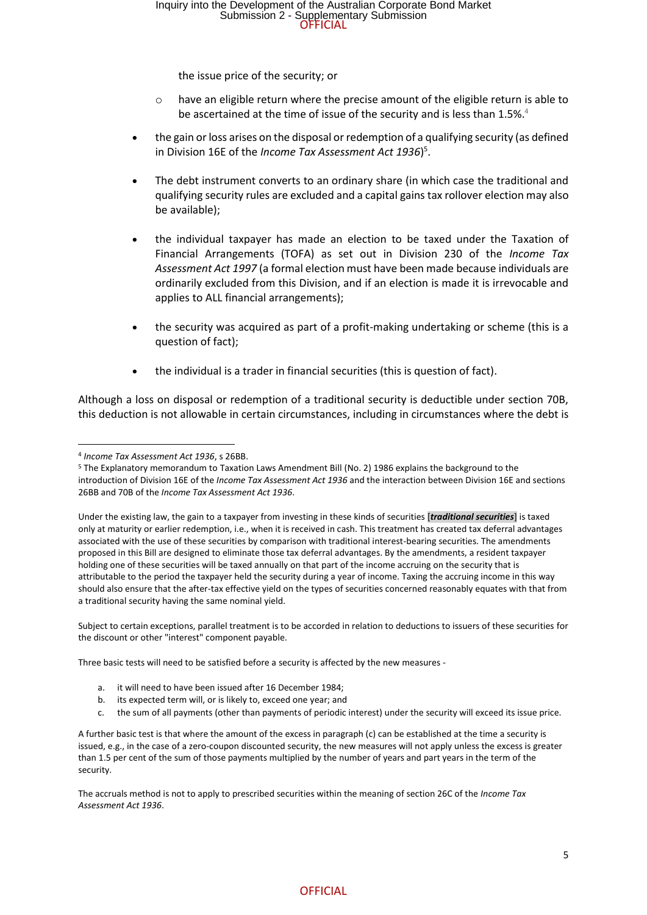the issue price of the security; or

- $\circ$  have an eligible return where the precise amount of the eligible return is able to be ascertained at the time of issue of the security and is less than 1.5%.<sup>4</sup>
- the gain or loss arises on the disposal or redemption of a qualifying security (as defined in Division 16E of the *Income Tax Assessment Act 1936*) 5 .
- The debt instrument converts to an ordinary share (in which case the traditional and qualifying security rules are excluded and a capital gains tax rollover election may also be available);
- the individual taxpayer has made an election to be taxed under the Taxation of Financial Arrangements (TOFA) as set out in Division 230 of the *Income Tax Assessment Act 1997* (a formal election must have been made because individuals are ordinarily excluded from this Division, and if an election is made it is irrevocable and applies to ALL financial arrangements);
- the security was acquired as part of a profit-making undertaking or scheme (this is a question of fact);
- the individual is a trader in financial securities (this is question of fact).

Although a loss on disposal or redemption of a traditional security is deductible under section 70B, this deduction is not allowable in certain circumstances, including in circumstances where the debt is

Subject to certain exceptions, parallel treatment is to be accorded in relation to deductions to issuers of these securities for the discount or other "interest" component payable.

Three basic tests will need to be satisfied before a security is affected by the new measures -

- a. it will need to have been issued after 16 December 1984;
- b. its expected term will, or is likely to, exceed one year; and
- c. the sum of all payments (other than payments of periodic interest) under the security will exceed its issue price.

The accruals method is not to apply to prescribed securities within the meaning of section 26C of the *Income Tax Assessment Act 1936*.

#### **OFFICIAL**

<sup>4</sup> *Income Tax Assessment Act 1936*, s 26BB.

<sup>5</sup> The Explanatory memorandum to Taxation Laws Amendment Bill (No. 2) 1986 explains the background to the introduction of Division 16E of the *Income Tax Assessment Act 1936* and the interaction between Division 16E and sections 26BB and 70B of the *Income Tax Assessment Act 1936*.

Under the existing law, the gain to a taxpayer from investing in these kinds of securities [*traditional securities*] is taxed only at maturity or earlier redemption, i.e., when it is received in cash. This treatment has created tax deferral advantages associated with the use of these securities by comparison with traditional interest-bearing securities. The amendments proposed in this Bill are designed to eliminate those tax deferral advantages. By the amendments, a resident taxpayer holding one of these securities will be taxed annually on that part of the income accruing on the security that is attributable to the period the taxpayer held the security during a year of income. Taxing the accruing income in this way should also ensure that the after-tax effective yield on the types of securities concerned reasonably equates with that from a traditional security having the same nominal yield.

A further basic test is that where the amount of the excess in paragraph (c) can be established at the time a security is issued, e.g., in the case of a zero-coupon discounted security, the new measures will not apply unless the excess is greater than 1.5 per cent of the sum of those payments multiplied by the number of years and part years in the term of the security.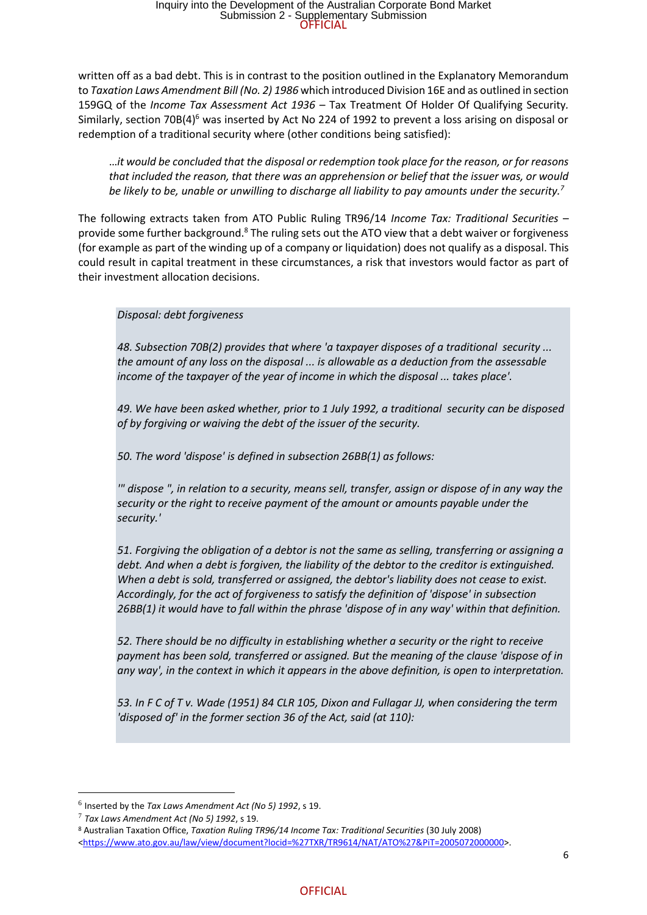written off as a bad debt. This is in contrast to the position outlined in the Explanatory Memorandum to *Taxation Laws Amendment Bill (No. 2) 1986* which introduced Division 16E and as outlined in section 159GQ of the *Income Tax Assessment Act 1936* – Tax Treatment Of Holder Of Qualifying Security*.* Similarly, section 70B( $4$ <sup>6</sup> was inserted by Act No 224 of 1992 to prevent a loss arising on disposal or redemption of a traditional security where (other conditions being satisfied):

…*it would be concluded that the disposal or redemption took place for the reason, or for reasons that included the reason, that there was an apprehension or belief that the issuer was, or would be likely to be, unable or unwilling to discharge all liability to pay amounts under the security.<sup>7</sup>*

The following extracts taken from ATO Public Ruling TR96/14 *Income Tax: Traditional Securities* – provide some further background.<sup>8</sup> The ruling sets out the ATO view that a debt waiver or forgiveness (for example as part of the winding up of a company or liquidation) does not qualify as a disposal. This could result in capital treatment in these circumstances, a risk that investors would factor as part of their investment allocation decisions.

*Disposal: debt forgiveness*

*48. Subsection 70B(2) provides that where 'a taxpayer disposes of a traditional security ... the amount of any loss on the disposal ... is allowable as a deduction from the assessable income of the taxpayer of the year of income in which the disposal ... takes place'.*

*49. We have been asked whether, prior to 1 July 1992, a traditional security can be disposed of by forgiving or waiving the debt of the issuer of the security.*

*50. The word 'dispose' is defined in subsection 26BB(1) as follows:*

*'" dispose ", in relation to a security, means sell, transfer, assign or dispose of in any way the security or the right to receive payment of the amount or amounts payable under the security.'*

*51. Forgiving the obligation of a debtor is not the same as selling, transferring or assigning a debt. And when a debt is forgiven, the liability of the debtor to the creditor is extinguished. When a debt is sold, transferred or assigned, the debtor's liability does not cease to exist. Accordingly, for the act of forgiveness to satisfy the definition of 'dispose' in subsection 26BB(1) it would have to fall within the phrase 'dispose of in any way' within that definition.*

*52. There should be no difficulty in establishing whether a security or the right to receive payment has been sold, transferred or assigned. But the meaning of the clause 'dispose of in any way', in the context in which it appears in the above definition, is open to interpretation.*

*53. In F C of T v. Wade (1951) 84 CLR 105, Dixon and Fullagar JJ, when considering the term 'disposed of' in the former section 36 of the Act, said (at 110):*

<sup>6</sup> Inserted by the *Tax Laws Amendment Act (No 5) 1992*, s 19.

<sup>7</sup> *Tax Laws Amendment Act (No 5) 1992*, s 19.

<sup>8</sup> Australian Taxation Office, *Taxation Ruling TR96/14 Income Tax: Traditional Securities* (30 July 2008) <https://www.ato.gov.au/law/view/document?locid=%27TXR/TR9614/NAT/ATO%27&PiT=2005072000000>.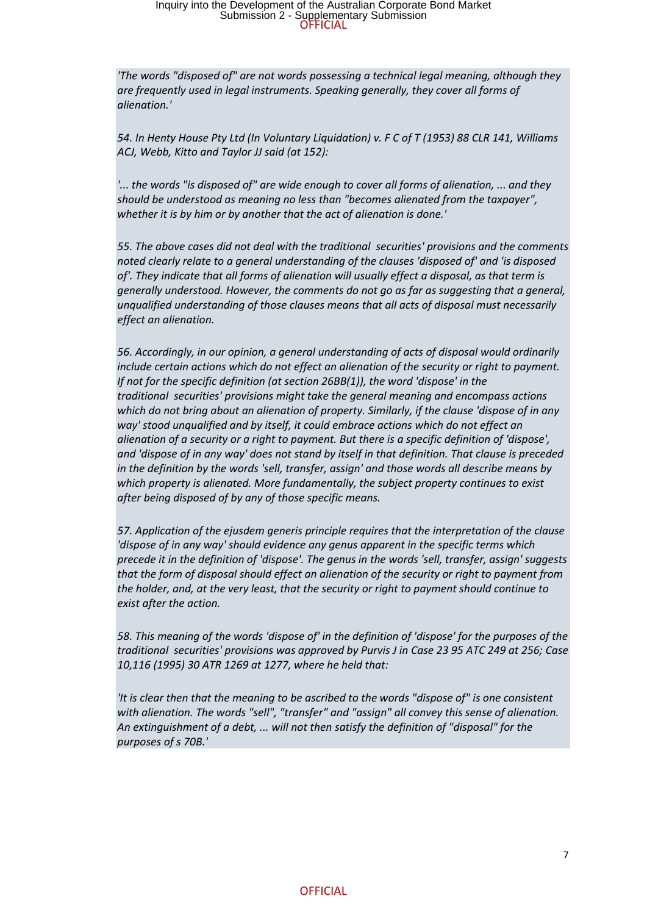### Submission 2 - Supplementary Submission<br>OFFICIAL Inquiry into the Development of the Australian Corporate Bond Market

*'The words "disposed of" are not words possessing a technical legal meaning, although they are frequently used in legal instruments. Speaking generally, they cover all forms of alienation.'*

*54. In Henty House Pty Ltd (In Voluntary Liquidation) v. F C of T (1953) 88 CLR 141, Williams ACJ, Webb, Kitto and Taylor JJ said (at 152):*

*'... the words "is disposed of" are wide enough to cover all forms of alienation, ... and they should be understood as meaning no less than "becomes alienated from the taxpayer", whether it is by him or by another that the act of alienation is done.'*

*55. The above cases did not deal with the traditional securities' provisions and the comments noted clearly relate to a general understanding of the clauses 'disposed of' and 'is disposed of'. They indicate that all forms of alienation will usually effect a disposal, as that term is generally understood. However, the comments do not go as far as suggesting that a general, unqualified understanding of those clauses means that all acts of disposal must necessarily effect an alienation.*

*56. Accordingly, in our opinion, a general understanding of acts of disposal would ordinarily include certain actions which do not effect an alienation of the security or right to payment. If not for the specific definition (at section 26BB(1)), the word 'dispose' in the traditional securities' provisions might take the general meaning and encompass actions which do not bring about an alienation of property. Similarly, if the clause 'dispose of in any way' stood unqualified and by itself, it could embrace actions which do not effect an alienation of a security or a right to payment. But there is a specific definition of 'dispose', and 'dispose of in any way' does not stand by itself in that definition. That clause is preceded in the definition by the words 'sell, transfer, assign' and those words all describe means by which property is alienated. More fundamentally, the subject property continues to exist after being disposed of by any of those specific means.*

*57. Application of the ejusdem generis principle requires that the interpretation of the clause 'dispose of in any way' should evidence any genus apparent in the specific terms which precede it in the definition of 'dispose'. The genus in the words 'sell, transfer, assign' suggests that the form of disposal should effect an alienation of the security or right to payment from the holder, and, at the very least, that the security or right to payment should continue to exist after the action.*

*58. This meaning of the words 'dispose of' in the definition of 'dispose' for the purposes of the traditional securities' provisions was approved by Purvis J in Case 23 95 ATC 249 at 256; Case 10,116 (1995) 30 ATR 1269 at 1277, where he held that:*

*'It is clear then that the meaning to be ascribed to the words "dispose of" is one consistent with alienation. The words "sell", "transfer" and "assign" all convey this sense of alienation. An extinguishment of a debt, ... will not then satisfy the definition of "disposal" for the purposes of s 70B.'*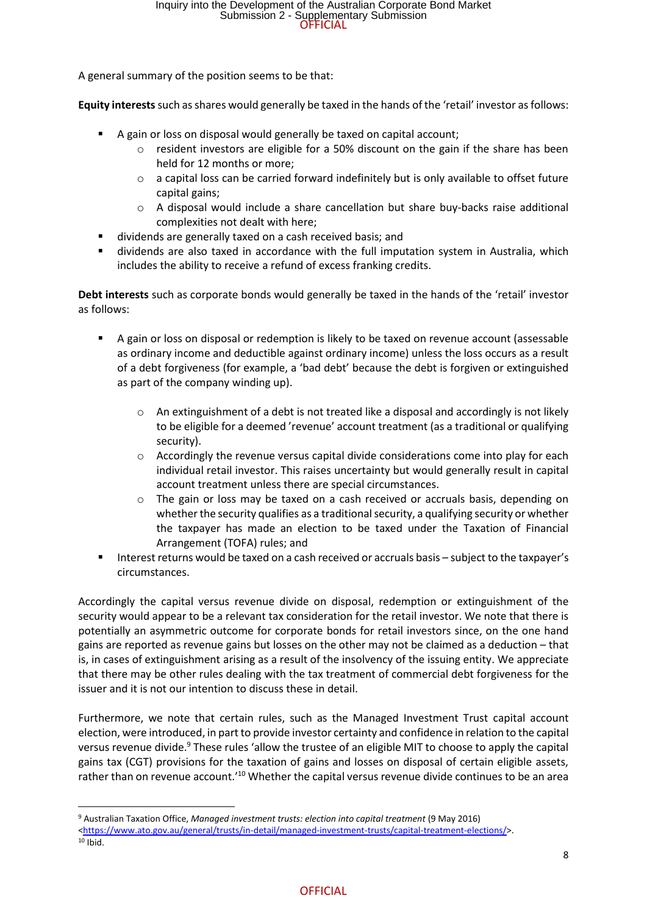A general summary of the position seems to be that:

**Equity interests**such as shares would generally be taxed in the hands of the 'retail' investor as follows:

- A gain or loss on disposal would generally be taxed on capital account;
	- $\circ$  resident investors are eligible for a 50% discount on the gain if the share has been held for 12 months or more;
	- $\circ$  a capital loss can be carried forward indefinitely but is only available to offset future capital gains;
	- o A disposal would include a share cancellation but share buy-backs raise additional complexities not dealt with here;
- dividends are generally taxed on a cash received basis; and
- dividends are also taxed in accordance with the full imputation system in Australia, which includes the ability to receive a refund of excess franking credits.

**Debt interests** such as corporate bonds would generally be taxed in the hands of the 'retail' investor as follows:

- A gain or loss on disposal or redemption is likely to be taxed on revenue account (assessable as ordinary income and deductible against ordinary income) unless the loss occurs as a result of a debt forgiveness (for example, a 'bad debt' because the debt is forgiven or extinguished as part of the company winding up).
	- $\circ$  An extinguishment of a debt is not treated like a disposal and accordingly is not likely to be eligible for a deemed 'revenue' account treatment (as a traditional or qualifying security).
	- $\circ$  Accordingly the revenue versus capital divide considerations come into play for each individual retail investor. This raises uncertainty but would generally result in capital account treatment unless there are special circumstances.
	- $\circ$  The gain or loss may be taxed on a cash received or accruals basis, depending on whether the security qualifies as a traditional security, a qualifying security or whether the taxpayer has made an election to be taxed under the Taxation of Financial Arrangement (TOFA) rules; and
- Interest returns would be taxed on a cash received or accruals basis subject to the taxpayer's circumstances.

Accordingly the capital versus revenue divide on disposal, redemption or extinguishment of the security would appear to be a relevant tax consideration for the retail investor. We note that there is potentially an asymmetric outcome for corporate bonds for retail investors since, on the one hand gains are reported as revenue gains but losses on the other may not be claimed as a deduction – that is, in cases of extinguishment arising as a result of the insolvency of the issuing entity. We appreciate that there may be other rules dealing with the tax treatment of commercial debt forgiveness for the issuer and it is not our intention to discuss these in detail.

Furthermore, we note that certain rules, such as the Managed Investment Trust capital account election, were introduced, in part to provide investor certainty and confidence in relation to the capital versus revenue divide.<sup>9</sup> These rules 'allow the trustee of an eligible MIT to choose to apply the capital gains tax (CGT) provisions for the taxation of gains and losses on disposal of certain eligible assets, rather than on revenue account.<sup>'10</sup> Whether the capital versus revenue divide continues to be an area

<sup>9</sup> Australian Taxation Office, *Managed investment trusts: election into capital treatment* (9 May 2016)

<sup>&</sup>lt;https://www.ato.gov.au/general/trusts/in-detail/managed-investment-trusts/capital-treatment-elections/>.

 $10$  Ibid.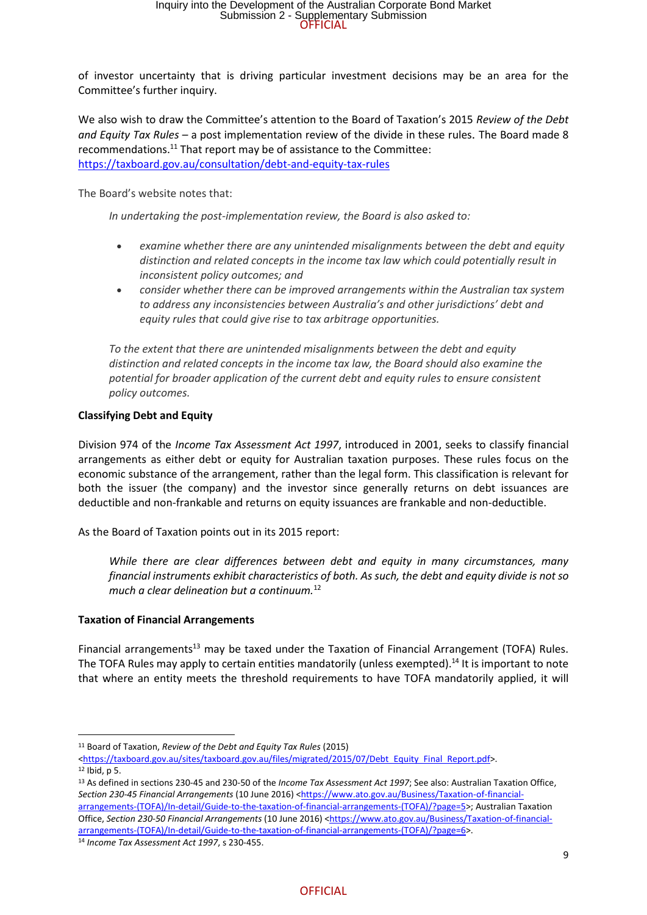of investor uncertainty that is driving particular investment decisions may be an area for the Committee's further inquiry.

We also wish to draw the Committee's attention to the Board of Taxation's 2015 *Review of the Debt and Equity Tax Rules –* a post implementation review of the divide in these rules. The Board made 8 recommendations.<sup>11</sup> That report may be of assistance to the Committee: https://taxboard.gov.au/consultation/debt-and-equity-tax-rules

The Board's website notes that:

*In undertaking the post-implementation review, the Board is also asked to:*

- *examine whether there are any unintended misalignments between the debt and equity distinction and related concepts in the income tax law which could potentially result in inconsistent policy outcomes; and*
- *consider whether there can be improved arrangements within the Australian tax system to address any inconsistencies between Australia's and other jurisdictions' debt and equity rules that could give rise to tax arbitrage opportunities.*

*To the extent that there are unintended misalignments between the debt and equity distinction and related concepts in the income tax law, the Board should also examine the potential for broader application of the current debt and equity rules to ensure consistent policy outcomes.*

#### **Classifying Debt and Equity**

Division 974 of the *Income Tax Assessment Act 1997*, introduced in 2001, seeks to classify financial arrangements as either debt or equity for Australian taxation purposes. These rules focus on the economic substance of the arrangement, rather than the legal form. This classification is relevant for both the issuer (the company) and the investor since generally returns on debt issuances are deductible and non-frankable and returns on equity issuances are frankable and non-deductible.

As the Board of Taxation points out in its 2015 report:

*While there are clear differences between debt and equity in many circumstances, many financial instruments exhibit characteristics of both. As such, the debt and equity divide is not so much a clear delineation but a continuum.*<sup>12</sup>

#### **Taxation of Financial Arrangements**

Financial arrangements<sup>13</sup> may be taxed under the Taxation of Financial Arrangement (TOFA) Rules. The TOFA Rules may apply to certain entities mandatorily (unless exempted).<sup>14</sup> It is important to note that where an entity meets the threshold requirements to have TOFA mandatorily applied, it will

<sup>13</sup> As defined in sections 230-45 and 230-50 of the *Income Tax Assessment Act 1997*; See also: Australian Taxation Office, *Section 230-45 Financial Arrangements* (10 June 2016) <https://www.ato.gov.au/Business/Taxation-of-financialarrangements-(TOFA)/In-detail/Guide-to-the-taxation-of-financial-arrangements-(TOFA)/?page=5>; Australian Taxation Office, Section 230-50 Financial Arrangements (10 June 2016) <https://www.ato.gov.au/Business/Taxation-of-financialarrangements-(TOFA)/In-detail/Guide-to-the-taxation-of-financial-arrangements-(TOFA)/?page=6>.

<sup>11</sup> Board of Taxation, *Review of the Debt and Equity Tax Rules* (2015)

<sup>&</sup>lt;https://taxboard.gov.au/sites/taxboard.gov.au/files/migrated/2015/07/Debt Equity Final Report.pdf>.

 $12$  Ibid, p 5.

<sup>14</sup> *Income Tax Assessment Act 1997*, s 230-455.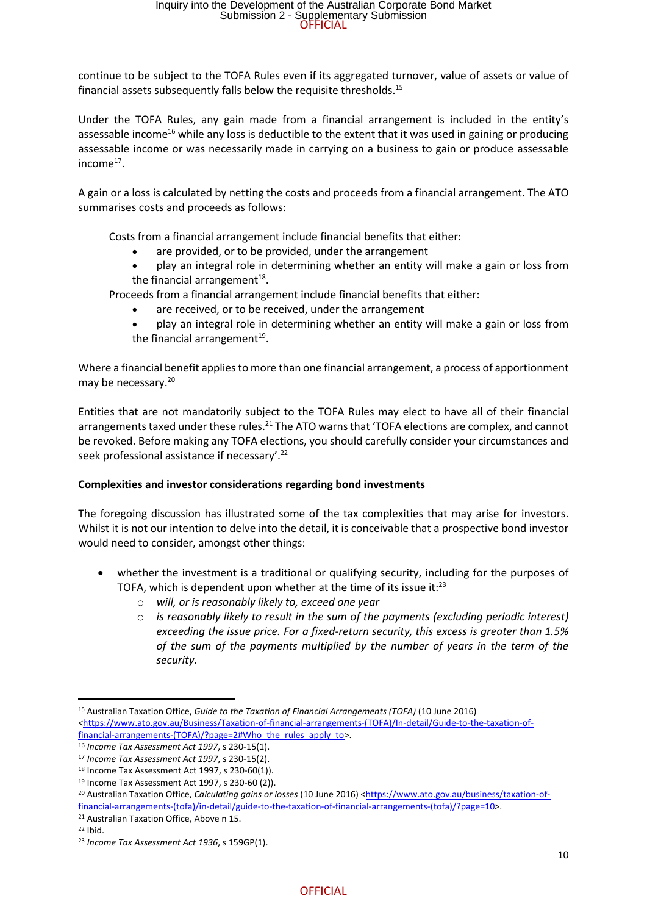continue to be subject to the TOFA Rules even if its aggregated turnover, value of assets or value of financial assets subsequently falls below the requisite thresholds.<sup>15</sup>

Under the TOFA Rules, any gain made from a financial arrangement is included in the entity's assessable income<sup>16</sup> while any loss is deductible to the extent that it was used in gaining or producing assessable income or was necessarily made in carrying on a business to gain or produce assessable income<sup>17</sup>.

A gain or a loss is calculated by netting the costs and proceeds from a financial arrangement. The ATO summarises costs and proceeds as follows:

Costs from a financial arrangement include financial benefits that either:

- are provided, or to be provided, under the arrangement
- play an integral role in determining whether an entity will make a gain or loss from the financial arrangement $^{18}$ .

Proceeds from a financial arrangement include financial benefits that either:

- are received, or to be received, under the arrangement
- play an integral role in determining whether an entity will make a gain or loss from the financial arrangement $^{19}$ .

Where a financial benefit applies to more than one financial arrangement, a process of apportionment may be necessary.<sup>20</sup>

Entities that are not mandatorily subject to the TOFA Rules may elect to have all of their financial arrangements taxed under these rules.<sup>21</sup> The ATO warns that 'TOFA elections are complex, and cannot be revoked. Before making any TOFA elections, you should carefully consider your circumstances and seek professional assistance if necessary'.<sup>22</sup>

#### **Complexities and investor considerations regarding bond investments**

The foregoing discussion has illustrated some of the tax complexities that may arise for investors. Whilst it is not our intention to delve into the detail, it is conceivable that a prospective bond investor would need to consider, amongst other things:

- whether the investment is a traditional or qualifying security, including for the purposes of TOFA, which is dependent upon whether at the time of its issue it: $^{23}$ 
	- o *will, or is reasonably likely to, exceed one year*
	- o *is reasonably likely to result in the sum of the payments (excluding periodic interest) exceeding the issue price. For a fixed-return security, this excess is greater than 1.5% of the sum of the payments multiplied by the number of years in the term of the security.*

<sup>15</sup> Australian Taxation Office, *Guide to the Taxation of Financial Arrangements (TOFA)* (10 June 2016) <https://www.ato.gov.au/Business/Taxation-of-financial-arrangements-(TOFA)/In-detail/Guide-to-the-taxation-offinancial-arrangements-(TOFA)/?page=2#Who the rules apply to>.

<sup>16</sup> *Income Tax Assessment Act 1997*, s 230-15(1).

<sup>17</sup> *Income Tax Assessment Act 1997*, s 230-15(2).

<sup>18</sup> Income Tax Assessment Act 1997, s 230-60(1)).

<sup>19</sup> Income Tax Assessment Act 1997, s 230-60 (2)).

<sup>20</sup> Australian Taxation Office, *Calculating gains or losses* (10 June 2016) <https://www.ato.gov.au/business/taxation-offinancial-arrangements-(tofa)/in-detail/guide-to-the-taxation-of-financial-arrangements-(tofa)/?page=10>.

<sup>21</sup> Australian Taxation Office, Above n 15.

<sup>22</sup> Ibid.

<sup>23</sup> *Income Tax Assessment Act 1936*, s 159GP(1).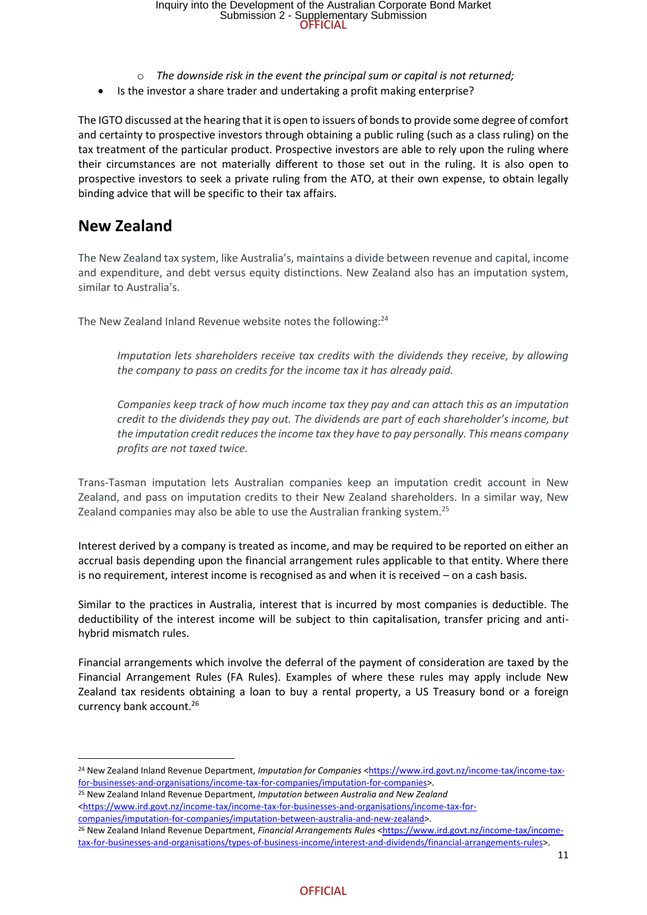- o *The downside risk in the event the principal sum or capital is not returned;*
- Is the investor a share trader and undertaking a profit making enterprise?

The IGTO discussed at the hearing that it is open to issuers of bonds to provide some degree of comfort and certainty to prospective investors through obtaining a public ruling (such as a class ruling) on the tax treatment of the particular product. Prospective investors are able to rely upon the ruling where their circumstances are not materially different to those set out in the ruling. It is also open to prospective investors to seek a private ruling from the ATO, at their own expense, to obtain legally binding advice that will be specific to their tax affairs.

### **New Zealand**

The New Zealand tax system, like Australia's, maintains a divide between revenue and capital, income and expenditure, and debt versus equity distinctions. New Zealand also has an imputation system, similar to Australia's.

The New Zealand Inland Revenue website notes the following:<sup>24</sup>

*Imputation lets shareholders receive tax credits with the dividends they receive, by allowing the company to pass on credits for the income tax it has already paid.*

*Companies keep track of how much income tax they pay and can attach this as an imputation credit to the dividends they pay out. The dividends are part of each shareholder's income, but the imputation credit reduces the income tax they have to pay personally. This means company profits are not taxed twice.*

Trans-Tasman imputation lets Australian companies keep an imputation credit account in New Zealand, and pass on imputation credits to their New Zealand shareholders. In a similar way, New Zealand companies may also be able to use the Australian franking system.<sup>25</sup>

Interest derived by a company is treated as income, and may be required to be reported on either an accrual basis depending upon the financial arrangement rules applicable to that entity. Where there is no requirement, interest income is recognised as and when it is received – on a cash basis.

Similar to the practices in Australia, interest that is incurred by most companies is deductible. The deductibility of the interest income will be subject to thin capitalisation, transfer pricing and antihybrid mismatch rules.

Financial arrangements which involve the deferral of the payment of consideration are taxed by the Financial Arrangement Rules (FA Rules). Examples of where these rules may apply include New Zealand tax residents obtaining a loan to buy a rental property, a US Treasury bond or a foreign currency bank account.<sup>26</sup>

companies/imputation-for-companies/imputation-between-australia-and-new-zealand>.

<sup>&</sup>lt;sup>24</sup> New Zealand Inland Revenue Department, *Imputation for Companies* <https://www.ird.govt.nz/income-tax/income-taxfor-businesses-and-organisations/income-tax-for-companies/imputation-for-companies>.

<sup>25</sup> New Zealand Inland Revenue Department, *Imputation between Australia and New Zealand* <https://www.ird.govt.nz/income-tax/income-tax-for-businesses-and-organisations/income-tax-for-

<sup>&</sup>lt;sup>26</sup> New Zealand Inland Revenue Department, *Financial Arrangements Rules* <https://www.ird.govt.nz/income-tax/incometax-for-businesses-and-organisations/types-of-business-income/interest-and-dividends/financial-arrangements-rules>.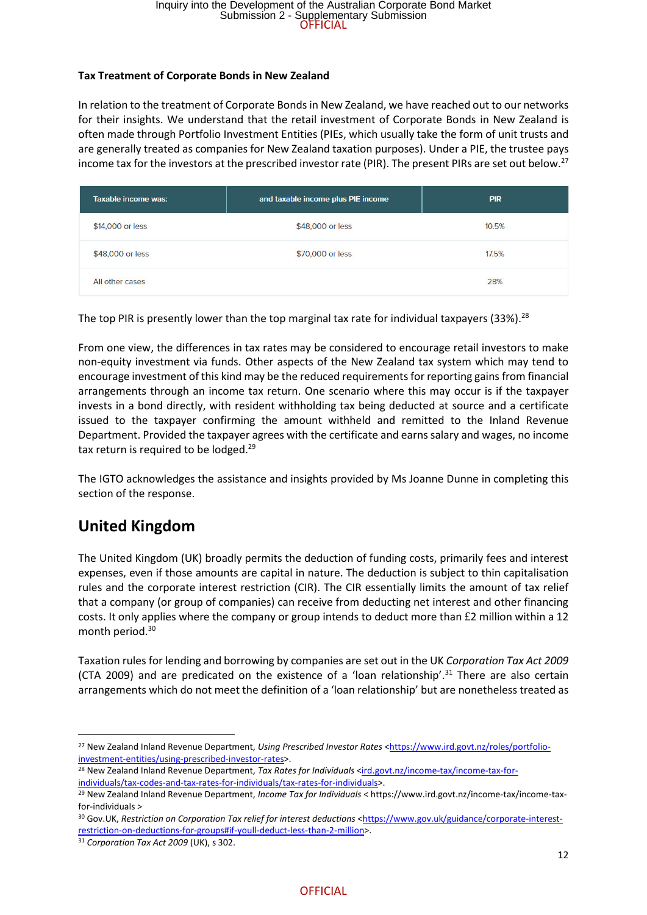#### **Tax Treatment of Corporate Bonds in New Zealand**

In relation to the treatment of Corporate Bonds in New Zealand, we have reached out to our networks for their insights. We understand that the retail investment of Corporate Bonds in New Zealand is often made through Portfolio Investment Entities (PIEs, which usually take the form of unit trusts and are generally treated as companies for New Zealand taxation purposes). Under a PIE, the trustee pays income tax for the investors at the prescribed investor rate (PIR). The present PIRs are set out below.<sup>27</sup>

| Taxable income was: | and taxable income plus PIE income | <b>PIR</b> |
|---------------------|------------------------------------|------------|
| \$14,000 or less    | \$48,000 or less                   | 10.5%      |
| \$48,000 or less    | \$70,000 or less                   | 17.5%      |
| All other cases     |                                    | 28%        |

The top PIR is presently lower than the top marginal tax rate for individual taxpayers (33%).<sup>28</sup>

From one view, the differences in tax rates may be considered to encourage retail investors to make non-equity investment via funds. Other aspects of the New Zealand tax system which may tend to encourage investment of this kind may be the reduced requirements for reporting gains from financial arrangements through an income tax return. One scenario where this may occur is if the taxpayer invests in a bond directly, with resident withholding tax being deducted at source and a certificate issued to the taxpayer confirming the amount withheld and remitted to the Inland Revenue Department. Provided the taxpayer agrees with the certificate and earns salary and wages, no income tax return is required to be lodged.<sup>29</sup>

The IGTO acknowledges the assistance and insights provided by Ms Joanne Dunne in completing this section of the response.

## **United Kingdom**

The United Kingdom (UK) broadly permits the deduction of funding costs, primarily fees and interest expenses, even if those amounts are capital in nature. The deduction is subject to thin capitalisation rules and the corporate interest restriction (CIR). The CIR essentially limits the amount of tax relief that a company (or group of companies) can receive from deducting net interest and other financing costs. It only applies where the company or group intends to deduct more than £2 million within a 12 month period.<sup>30</sup>

Taxation rules for lending and borrowing by companies are set out in the UK *Corporation Tax Act 2009* (CTA 2009) and are predicated on the existence of a 'loan relationship'.<sup>31</sup> There are also certain arrangements which do not meet the definition of a 'loan relationship' but are nonetheless treated as

<sup>27</sup> New Zealand Inland Revenue Department, *Using Prescribed Investor Rates* <https://www.ird.govt.nz/roles/portfolioinvestment-entities/using-prescribed-investor-rates>.

<sup>&</sup>lt;sup>28</sup> New Zealand Inland Revenue Department, Tax Rates for Individuals <ird.govt.nz/income-tax/income-tax-forindividuals/tax-codes-and-tax-rates-for-individuals/tax-rates-for-individuals>.

<sup>29</sup> New Zealand Inland Revenue Department, *Income Tax for Individuals* < https://www.ird.govt.nz/income-tax/income-taxfor-individuals >

<sup>30</sup> Gov.UK, Restriction on Corporation Tax relief for interest deductions <https://www.gov.uk/guidance/corporate-interestrestriction-on-deductions-for-groups#if-youll-deduct-less-than-2-million>.

<sup>31</sup> *Corporation Tax Act 2009* (UK), s 302.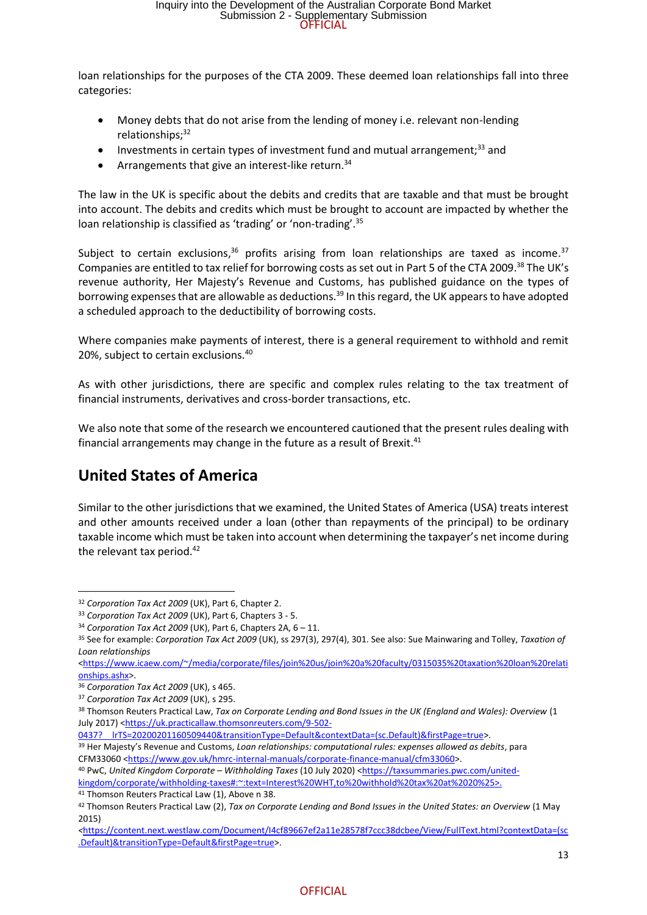loan relationships for the purposes of the CTA 2009. These deemed loan relationships fall into three categories:

- Money debts that do not arise from the lending of money i.e. relevant non-lending relationships; 32
- Investments in certain types of investment fund and mutual arrangement;<sup>33</sup> and
- Arrangements that give an interest-like return.<sup>34</sup>

The law in the UK is specific about the debits and credits that are taxable and that must be brought into account. The debits and credits which must be brought to account are impacted by whether the loan relationship is classified as 'trading' or 'non-trading'.<sup>35</sup>

Subject to certain exclusions,  $36$  profits arising from loan relationships are taxed as income.  $37$ Companies are entitled to tax relief for borrowing costs as set out in Part 5 of the CTA 2009.<sup>38</sup> The UK's revenue authority, Her Majesty's Revenue and Customs, has published guidance on the types of borrowing expenses that are allowable as deductions.<sup>39</sup> In this regard, the UK appears to have adopted a scheduled approach to the deductibility of borrowing costs.

Where companies make payments of interest, there is a general requirement to withhold and remit 20%, subject to certain exclusions.<sup>40</sup>

As with other jurisdictions, there are specific and complex rules relating to the tax treatment of financial instruments, derivatives and cross-border transactions, etc.

We also note that some of the research we encountered cautioned that the present rules dealing with financial arrangements may change in the future as a result of Brexit.<sup>41</sup>

## **United States of America**

Similar to the other jurisdictions that we examined, the United States of America (USA) treats interest and other amounts received under a loan (other than repayments of the principal) to be ordinary taxable income which must be taken into account when determining the taxpayer's net income during the relevant tax period. $42$ 

<sup>41</sup> Thomson Reuters Practical Law (1), Above n 38.

<sup>32</sup> *Corporation Tax Act 2009* (UK), Part 6, Chapter 2.

<sup>33</sup> *Corporation Tax Act 2009* (UK), Part 6, Chapters 3 - 5.

<sup>34</sup> *Corporation Tax Act 2009* (UK), Part 6, Chapters 2A, 6 – 11.

<sup>35</sup> See for example: *Corporation Tax Act 2009* (UK), ss 297(3), 297(4), 301. See also: Sue Mainwaring and Tolley, *Taxation of Loan relationships*

<sup>&</sup>lt;https://www.icaew.com/~/media/corporate/files/join%20us/join%20a%20faculty/0315035%20taxation%20loan%20relati onships.ashx>.

<sup>36</sup> *Corporation Tax Act 2009* (UK), s 465.

<sup>37</sup> *Corporation Tax Act 2009* (UK), s 295.

<sup>38</sup> Thomson Reuters Practical Law, *Tax on Corporate Lending and Bond Issues in the UK (England and Wales): Overview* (1 July 2017) <https://uk.practicallaw.thomsonreuters.com/9-502-

<sup>0437?</sup> lrTS=20200201160509440&transitionType=Default&contextData=(sc.Default)&firstPage=true>.

<sup>39</sup> Her Majesty's Revenue and Customs, *Loan relationships: computational rules: expenses allowed as debits*, para CFM33060 <https://www.gov.uk/hmrc-internal-manuals/corporate-finance-manual/cfm33060>.

<sup>40</sup> PwC, *United Kingdom Corporate – Withholding Taxes* (10 July 2020) <https://taxsummaries.pwc.com/unitedkingdom/corporate/withholding-taxes#:~:text=Interest%20WHT,to%20withhold%20tax%20at%2020%25>.

<sup>42</sup> Thomson Reuters Practical Law (2), *Tax on Corporate Lending and Bond Issues in the United States: an Overview* (1 May 2015)

*<sup>&</sup>lt;*https://content.next.westlaw.com/Document/I4cf89667ef2a11e28578f7ccc38dcbee/View/FullText.html?contextData=(sc .Default)&transitionType=Default&firstPage=true>.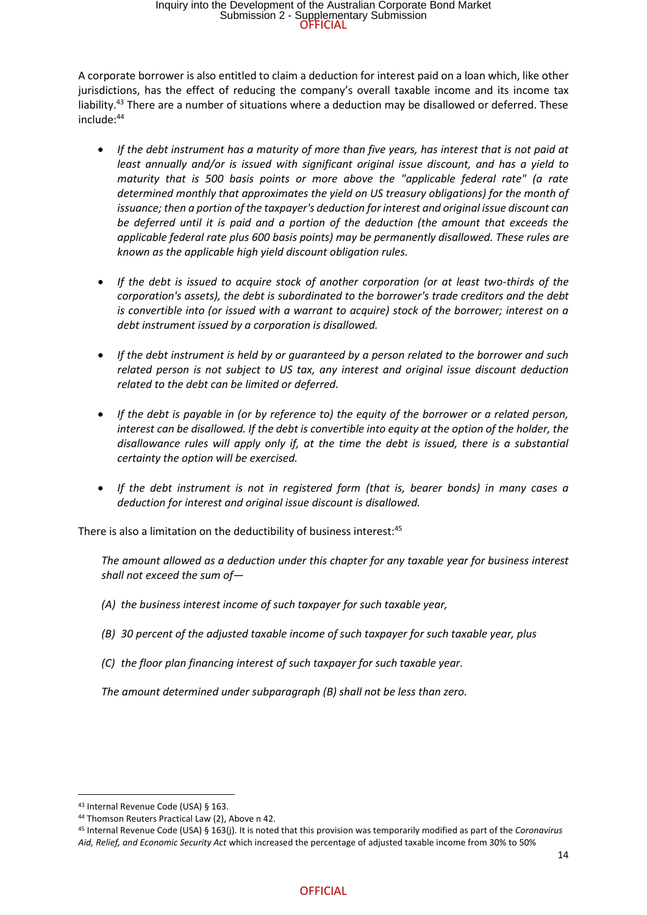A corporate borrower is also entitled to claim a deduction for interest paid on a loan which, like other jurisdictions, has the effect of reducing the company's overall taxable income and its income tax liability.<sup>43</sup> There are a number of situations where a deduction may be disallowed or deferred. These include:<sup>44</sup>

- *If the debt instrument has a maturity of more than five years, has interest that is not paid at least annually and/or is issued with significant original issue discount, and has a yield to maturity that is 500 basis points or more above the "applicable federal rate" (a rate determined monthly that approximates the yield on US treasury obligations) for the month of issuance; then a portion of the taxpayer's deduction for interest and original issue discount can be deferred until it is paid and a portion of the deduction (the amount that exceeds the applicable federal rate plus 600 basis points) may be permanently disallowed. These rules are known as the applicable high yield discount obligation rules.*
- *If the debt is issued to acquire stock of another corporation (or at least two-thirds of the corporation's assets), the debt is subordinated to the borrower's trade creditors and the debt is convertible into (or issued with a warrant to acquire) stock of the borrower; interest on a debt instrument issued by a corporation is disallowed.*
- *If the debt instrument is held by or guaranteed by a person related to the borrower and such related person is not subject to US tax, any interest and original issue discount deduction related to the debt can be limited or deferred.*
- *If the debt is payable in (or by reference to) the equity of the borrower or a related person, interest can be disallowed. If the debt is convertible into equity at the option of the holder, the disallowance rules will apply only if, at the time the debt is issued, there is a substantial certainty the option will be exercised.*
- *If the debt instrument is not in registered form (that is, bearer bonds) in many cases a deduction for interest and original issue discount is disallowed.*

There is also a limitation on the deductibility of business interest:<sup>45</sup>

*The amount allowed as a deduction under this chapter for any taxable year for business interest shall not exceed the sum of—*

- *(A) the business interest income of such taxpayer for such taxable year,*
- *(B) 30 percent of the adjusted taxable income of such taxpayer for such taxable year, plus*
- *(C) the floor plan financing interest of such taxpayer for such taxable year.*

*The amount determined under subparagraph (B) shall not be less than zero.*

<sup>43</sup> Internal Revenue Code (USA) § 163.

<sup>44</sup> Thomson Reuters Practical Law (2), Above n 42.

<sup>45</sup> Internal Revenue Code (USA) § 163(j). It is noted that this provision was temporarily modified as part of the *Coronavirus Aid, Relief, and Economic Security Act* which increased the percentage of adjusted taxable income from 30% to 50%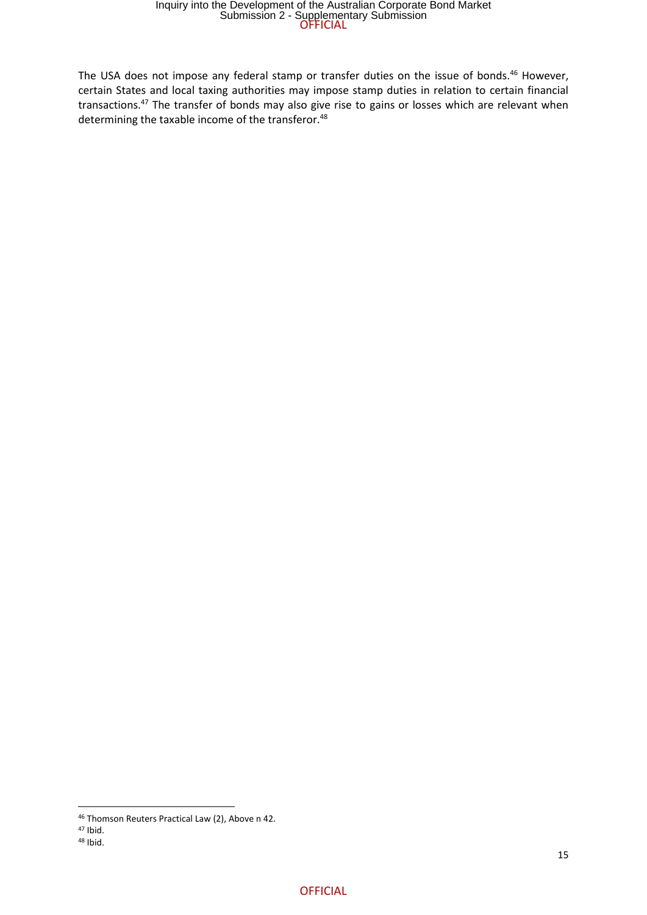The USA does not impose any federal stamp or transfer duties on the issue of bonds.<sup>46</sup> However, certain States and local taxing authorities may impose stamp duties in relation to certain financial transactions.<sup>47</sup> The transfer of bonds may also give rise to gains or losses which are relevant when determining the taxable income of the transferor.<sup>48</sup>

<sup>46</sup> Thomson Reuters Practical Law (2), Above n 42.

<sup>47</sup> Ibid.

<sup>48</sup> Ibid.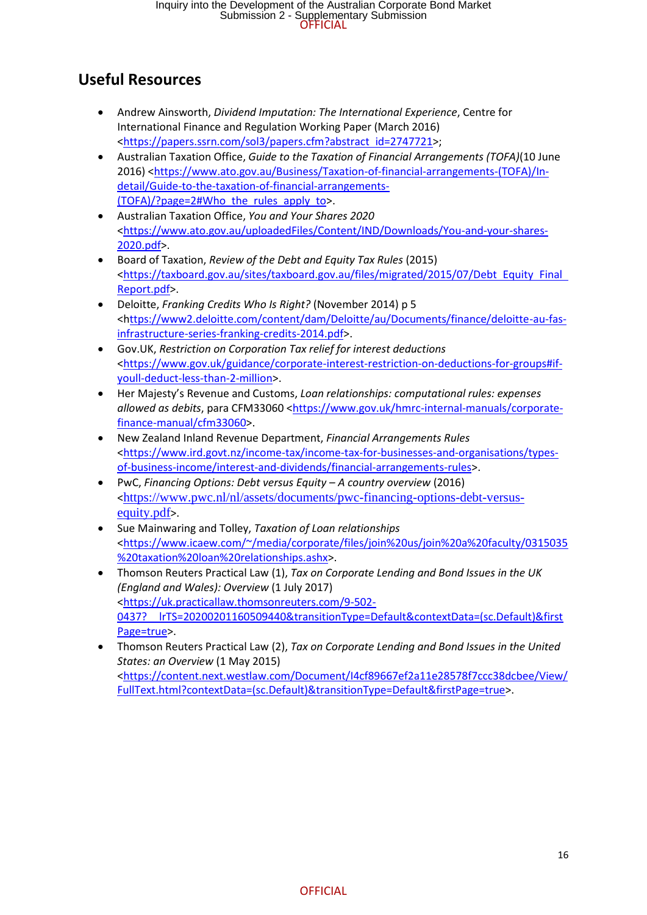# **Useful Resources**

- Andrew Ainsworth, *Dividend Imputation: The International Experience*, Centre for International Finance and Regulation Working Paper (March 2016) <https://papers.ssrn.com/sol3/papers.cfm?abstract id=2747721>;
- Australian Taxation Office, *Guide to the Taxation of Financial Arrangements (TOFA)*(10 June 2016) <https://www.ato.gov.au/Business/Taxation-of-financial-arrangements-(TOFA)/Indetail/Guide-to-the-taxation-of-financial-arrangements- (TOFA)/?page=2#Who the rules apply to>.
- Australian Taxation Office, *You and Your Shares 2020* <https://www.ato.gov.au/uploadedFiles/Content/IND/Downloads/You-and-your-shares-2020.pdf>.
- Board of Taxation, *Review of the Debt and Equity Tax Rules* (2015) <https://taxboard.gov.au/sites/taxboard.gov.au/files/migrated/2015/07/Debt Equity Final Report.pdf>.
- Deloitte, *Franking Credits Who Is Right?* (November 2014) p 5 <https://www2.deloitte.com/content/dam/Deloitte/au/Documents/finance/deloitte-au-fasinfrastructure-series-franking-credits-2014.pdf>.
- Gov.UK, *Restriction on Corporation Tax relief for interest deductions* <https://www.gov.uk/guidance/corporate-interest-restriction-on-deductions-for-groups#ifyoull-deduct-less-than-2-million>.
- Her Majesty's Revenue and Customs, *Loan relationships: computational rules: expenses allowed as debits*, para CFM33060 <https://www.gov.uk/hmrc-internal-manuals/corporatefinance-manual/cfm33060>.
- New Zealand Inland Revenue Department, *Financial Arrangements Rules* <https://www.ird.govt.nz/income-tax/income-tax-for-businesses-and-organisations/typesof-business-income/interest-and-dividends/financial-arrangements-rules>.
- PwC, *Financing Options: Debt versus Equity – A country overview* (2016) <https://www.pwc.nl/nl/assets/documents/pwc-financing-options-debt-versusequity.pdf>.
- Sue Mainwaring and Tolley, *Taxation of Loan relationships* <https://www.icaew.com/~/media/corporate/files/join%20us/join%20a%20faculty/0315035 %20taxation%20loan%20relationships.ashx>.
- Thomson Reuters Practical Law (1), *Tax on Corporate Lending and Bond Issues in the UK (England and Wales): Overview* (1 July 2017) <https://uk.practicallaw.thomsonreuters.com/9-502- 0437? lrTS=20200201160509440&transitionType=Default&contextData=(sc.Default)&first Page=true>.
- Thomson Reuters Practical Law (2), *Tax on Corporate Lending and Bond Issues in the United States: an Overview* (1 May 2015) <https://content.next.westlaw.com/Document/I4cf89667ef2a11e28578f7ccc38dcbee/View/ FullText.html?contextData=(sc.Default)&transitionType=Default&firstPage=true>.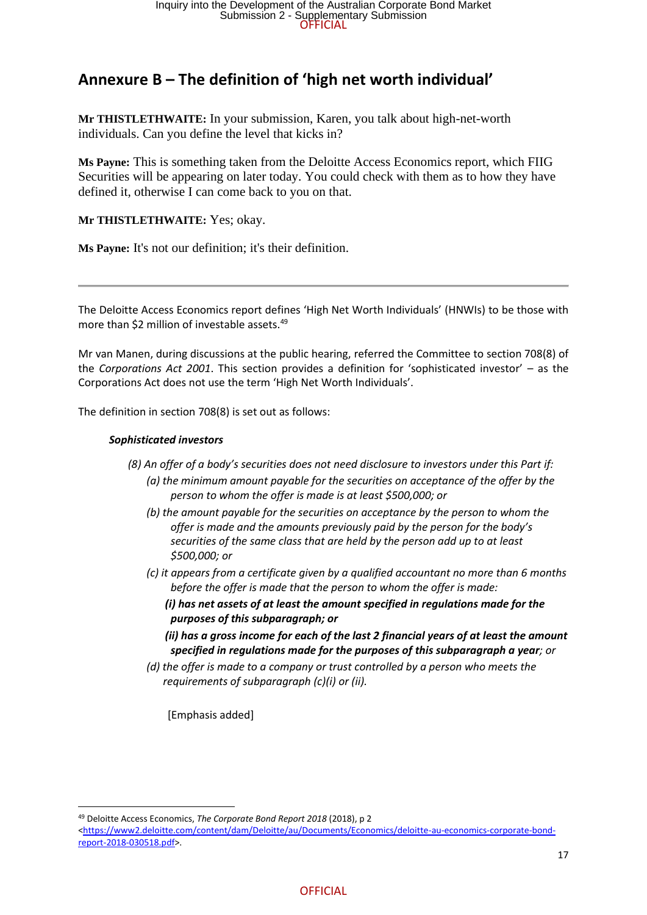## **Annexure B – The definition of 'high net worth individual'**

**Mr THISTLETHWAITE:** In your submission, Karen, you talk about high-net-worth individuals. Can you define the level that kicks in?

**Ms Payne:** This is something taken from the Deloitte Access Economics report, which FIIG Securities will be appearing on later today. You could check with them as to how they have defined it, otherwise I can come back to you on that.

**Mr THISTLETHWAITE:** Yes; okay.

**Ms Payne:** It's not our definition; it's their definition.

The Deloitte Access Economics report defines 'High Net Worth Individuals' (HNWIs) to be those with more than \$2 million of investable assets.<sup>49</sup>

Mr van Manen, during discussions at the public hearing, referred the Committee to section 708(8) of the *Corporations Act 2001*. This section provides a definition for 'sophisticated investor' – as the Corporations Act does not use the term 'High Net Worth Individuals'.

The definition in section 708(8) is set out as follows:

#### *Sophisticated investors*

 *(8) An offer of a body's securities does not need disclosure to investors under this Part if:*

- *(a) the minimum amount payable for the securities on acceptance of the offer by the person to whom the offer is made is at least \$500,000; or*
- *(b) the amount payable for the securities on acceptance by the person to whom the offer is made and the amounts previously paid by the person for the body's securities of the same class that are held by the person add up to at least \$500,000; or*
- *(c) it appears from a certificate given by a qualified accountant no more than 6 months before the offer is made that the person to whom the offer is made:*
	- *(i) has net assets of at least the amount specified in regulations made for the purposes of this subparagraph; or*
	- *(ii) has a gross income for each of the last 2 financial years of at least the amount specified in regulations made for the purposes of this subparagraph a year; or*
- *(d) the offer is made to a company or trust controlled by a person who meets the requirements of subparagraph (c)(i) or (ii).*

[Emphasis added]

<sup>49</sup> Deloitte Access Economics, *The Corporate Bond Report 2018* (2018), p 2

<sup>&</sup>lt;https://www2.deloitte.com/content/dam/Deloitte/au/Documents/Economics/deloitte-au-economics-corporate-bondreport-2018-030518.pdf>.